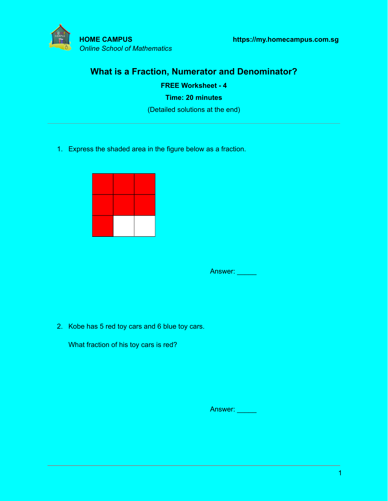

# **What is a Fraction, Numerator and Denominator?**

**FREE Worksheet - 4 Time: 20 minutes** (Detailed solutions at the end)

1. Express the shaded area in the figure below as a fraction.



Answer: \_\_\_\_\_

2. Kobe has 5 red toy cars and 6 blue toy cars.

What fraction of his toy cars is red?

Answer: \_\_\_\_\_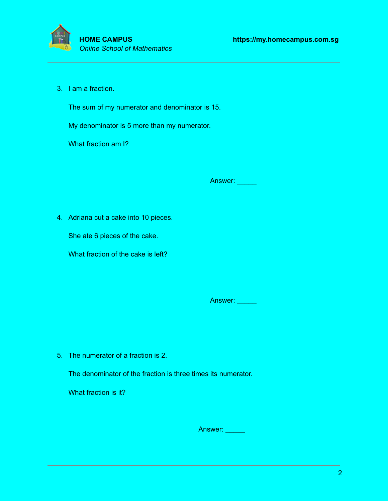

3. I am a fraction.

The sum of my numerator and denominator is 15.

My denominator is 5 more than my numerator.

What fraction am I?

Answer: **\_\_\_\_\_** 

4. Adriana cut a cake into 10 pieces.

She ate 6 pieces of the cake.

What fraction of the cake is left?

Answer: \_\_\_\_\_

5. The numerator of a fraction is 2.

The denominator of the fraction is three times its numerator.

What fraction is it?

Answer: \_\_\_\_\_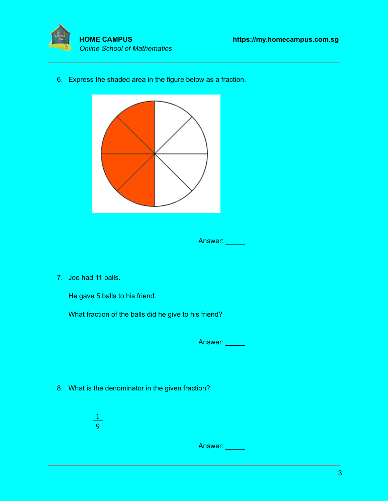



6. Express the shaded area in the figure below as a fraction.



Answer: \_\_\_\_\_

7. Joe had 11 balls.

He gave 5 balls to his friend.

What fraction of the balls did he give to his friend?

Answer: \_\_\_\_\_

- 8. What is the denominator in the given fraction?
	- 1 9

Answer: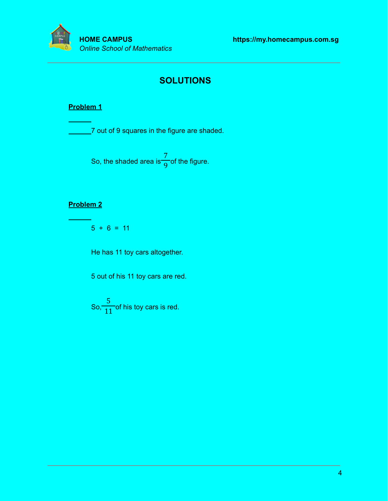

# **SOLUTIONS**

### **Problem 1**

**7** out of 9 squares in the figure are shaded.

So, the shaded area is  $\overline{O}$  of the figure. 7 9

### **Problem 2**

 $5 + 6 = 11$ 

He has 11 toy cars altogether.

5 out of his 11 toy cars are red.

So,  $\frac{1}{11}$  of his toy cars is red. 5 11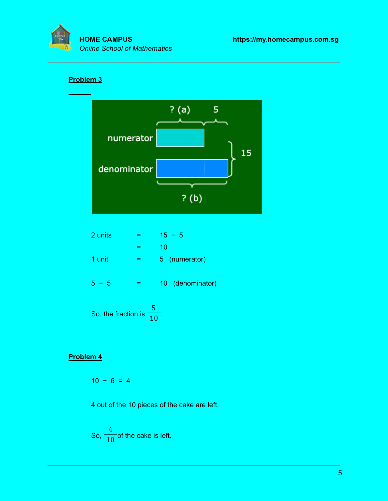

## **Problem 3**



| 2 units | $15 - 5$         |
|---------|------------------|
|         | 10               |
| 1 unit  | 5 (numerator)    |
| $5 + 5$ | 10 (denominator) |
|         |                  |

So, the fraction is  $\frac{1}{10}$ . 5 10

## **Problem 4**

$$
10 - 6 = 4
$$

4 out of the 10 pieces of the cake are left.

So, 
$$
\frac{4}{10}
$$
 of the cake is left.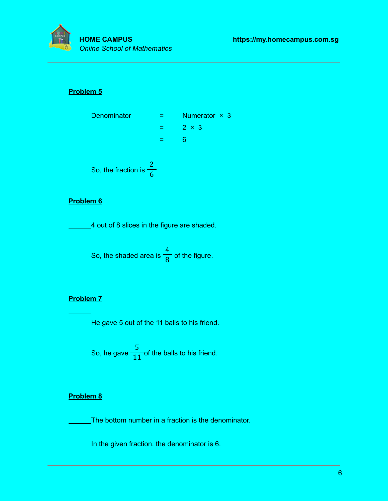

#### **Problem 5**



### **Problem 6**

4 out of 8 slices in the figure are shaded.

So, the shaded area is  $\frac{1}{\sqrt{2}}$  of the figure. 4 8

### **Problem 7**

He gave 5 out of the 11 balls to his friend.

So, he gave  $\frac{1}{11}$  of the balls to his friend. 5 11

#### **Problem 8**

The bottom number in a fraction is the denominator.

In the given fraction, the denominator is 6.